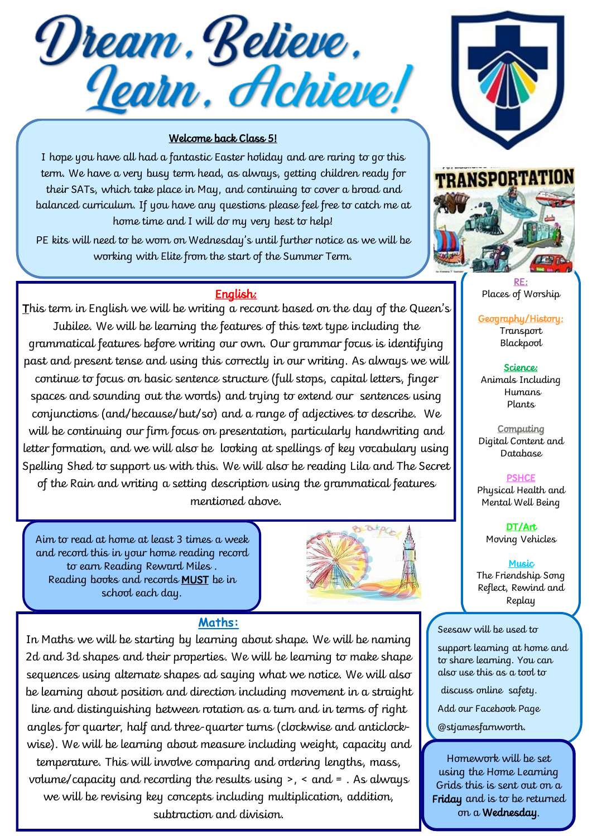Dream. Believe.<br><u>Jearn, Achieve!</u>

## Welcome back Class 5!

I hope you have all had a fantastic Easter holiday and are raring to go this term. We have a very busy term head, as always, getting children ready for their SATs, which take place in May, and continuing to cover a broad and balanced curriculum. If you have any questions please feel free to catch me at home time and I will do my very best to help!

PE kits will need to be worn on Wednesday's until further notice as we will be working with Elite from the start of the Summer Term.

## English:

This term in English we will be writing a recount based on the day of the Queen's Jubilee. We will be learning the features of this text type including the grammatical features before writing our own. Our grammar focus is identifying past and present tense and using this correctly in our writing. As always we will continue to focus on basic sentence structure (full stops, capital letters, finger spaces and sounding out the words) and trying to extend our sentences using conjunctions (and/because/but/so) and a range of adjectives to describe. We will be continuing our firm focus on presentation, particularly handwriting and letter formation, and we will also be looking at spellings of key vocabulary using Spelling Shed to support us with this. We will also be reading Lila and The Secret of the Rain and writing a setting description using the grammatical features mentioned above.

Aim to read at home at least 3 times a week and record this in your home reading record to earn Reading Reward Miles . Reading books and records MUST be in school each day.



## **Maths:**

In Maths we will be starting by learning about shape. We will be naming 2d and 3d shapes and their properties. We will be learning to make shape sequences using alternate shapes ad saying what we notice. We will also be learning about position and direction including movement in a straight line and distinguishing between rotation as a turn and in terms of right angles for quarter, half and three-quarter turns (clockwise and anticlockwise). We will be learning about measure including weight, capacity and temperature. This will involve comparing and ordering lengths, mass, volume/capacity and recording the results using >, < and = . As always we will be revising key concepts including multiplication, addition, subtraction and division.





RE: Places of Worship

Geography/History: Transport Blackpool

Science: Animals Including Humans Plants

**Computing** Digital Content and Database

**PSHCE** Physical Health and Mental Well Being

DT/Art Moving Vehicles

Music The Friendship Song Reflect, Rewind and Replay

Seesaw will be used to

support learning at home and to share learning. You can also use this as a tool to

discuss online safety.

Add our Facebook Page

@stjamesfarnworth.

Homework will be set using the Home Learning Grids this is sent out on a Friday and is to be returned on a Wednesday.